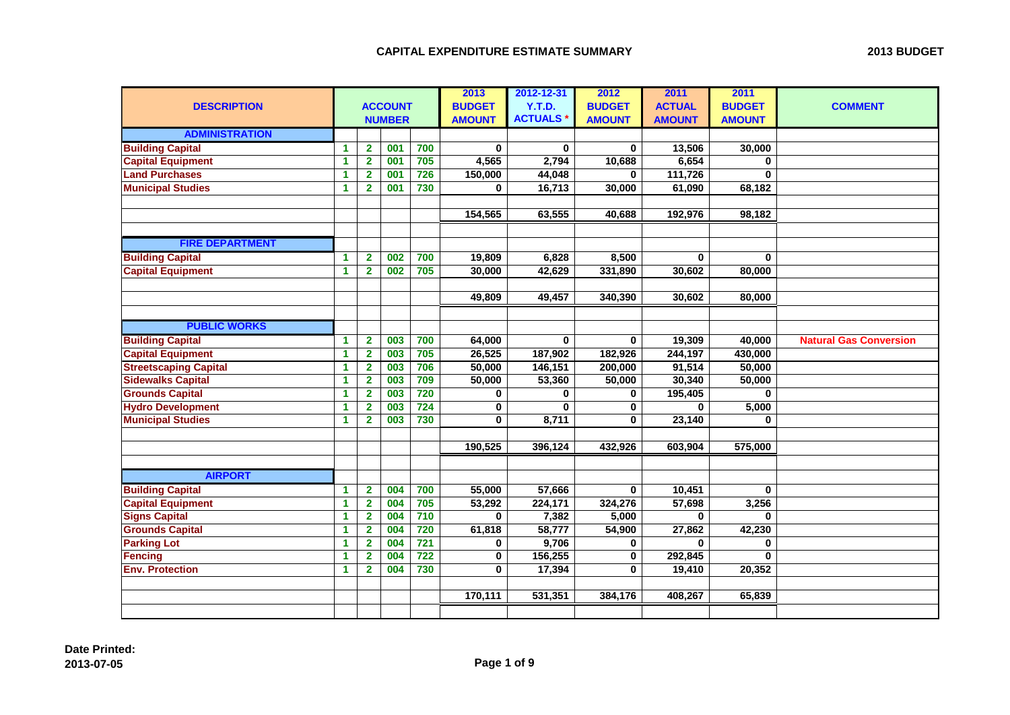|                              |                      |                |                |                  | 2013          | 2012-12-31      | 2012          | 2011          | 2011          |                               |
|------------------------------|----------------------|----------------|----------------|------------------|---------------|-----------------|---------------|---------------|---------------|-------------------------------|
| <b>DESCRIPTION</b>           |                      |                | <b>ACCOUNT</b> |                  | <b>BUDGET</b> | Y.T.D.          | <b>BUDGET</b> | <b>ACTUAL</b> | <b>BUDGET</b> | <b>COMMENT</b>                |
|                              |                      |                | <b>NUMBER</b>  |                  | <b>AMOUNT</b> | <b>ACTUALS*</b> | <b>AMOUNT</b> | <b>AMOUNT</b> | <b>AMOUNT</b> |                               |
| <b>ADMINISTRATION</b>        |                      |                |                |                  |               |                 |               |               |               |                               |
| <b>Building Capital</b>      | 1                    | $\mathbf{2}$   | 001            | 700              | $\bf{0}$      | $\bf{0}$        | $\mathbf{0}$  | 13,506        | 30,000        |                               |
| <b>Capital Equipment</b>     | 1                    | $\overline{2}$ | 001            | 705              | 4,565         | 2,794           | 10,688        | 6,654         | $\mathbf 0$   |                               |
| <b>Land Purchases</b>        | 1                    | $\overline{2}$ | 001            | 726              | 150,000       | 44,048          | 0             | 111,726       | $\mathbf{0}$  |                               |
| <b>Municipal Studies</b>     | $\mathbf{1}$         | $\overline{2}$ | 001            | 730              | 0             | 16,713          | 30,000        | 61,090        | 68,182        |                               |
|                              |                      |                |                |                  |               |                 |               |               |               |                               |
|                              |                      |                |                |                  | 154,565       | 63,555          | 40,688        | 192,976       | 98,182        |                               |
|                              |                      |                |                |                  |               |                 |               |               |               |                               |
| <b>FIRE DEPARTMENT</b>       |                      |                |                |                  |               |                 |               |               |               |                               |
| <b>Building Capital</b>      | 1                    | $\overline{2}$ | 002            | 700              | 19,809        | 6,828           | 8,500         | $\mathbf 0$   | 0             |                               |
| <b>Capital Equipment</b>     | 1                    | $\mathbf{2}$   | 002            | 705              | 30,000        | 42,629          | 331,890       | 30,602        | 80,000        |                               |
|                              |                      |                |                |                  |               |                 |               |               |               |                               |
|                              |                      |                |                |                  | 49,809        | 49,457          | 340,390       | 30,602        | 80,000        |                               |
|                              |                      |                |                |                  |               |                 |               |               |               |                               |
| <b>PUBLIC WORKS</b>          |                      |                |                |                  |               |                 |               |               |               |                               |
| <b>Building Capital</b>      | 1                    | $\mathbf{2}$   | 003            | 700              | 64,000        | $\bf{0}$        | 0             | 19,309        | 40,000        | <b>Natural Gas Conversion</b> |
| <b>Capital Equipment</b>     | 1                    | $\mathbf{2}$   | 003            | 705              | 26,525        | 187,902         | 182,926       | 244,197       | 430,000       |                               |
| <b>Streetscaping Capital</b> | 1                    | $\mathbf{2}$   | 003            | 706              | 50,000        | 146,151         | 200,000       | 91,514        | 50,000        |                               |
| <b>Sidewalks Capital</b>     | 1                    | $\mathbf{2}$   | 003            | 709              | 50,000        | 53,360          | 50,000        | 30,340        | 50,000        |                               |
| <b>Grounds Capital</b>       | 1                    | $\mathbf{2}$   | 003            | 720              | $\bf{0}$      | $\bf{0}$        | 0             | 195,405       | $\mathbf 0$   |                               |
| <b>Hydro Development</b>     | 1                    | $\mathbf{2}$   | 003            | 724              | $\mathbf 0$   | $\bf{0}$        | 0             | $\mathbf{0}$  | 5,000         |                               |
| <b>Municipal Studies</b>     | $\blacktriangleleft$ | $\mathbf{2}$   | 003            | 730              | $\bf{0}$      | 8,711           | 0             | 23,140        | $\bf{0}$      |                               |
|                              |                      |                |                |                  |               |                 |               |               |               |                               |
|                              |                      |                |                |                  | 190,525       | 396,124         | 432,926       | 603,904       | 575,000       |                               |
|                              |                      |                |                |                  |               |                 |               |               |               |                               |
| <b>AIRPORT</b>               |                      |                |                |                  |               |                 |               |               |               |                               |
| <b>Building Capital</b>      | 1                    | $\overline{2}$ | 004            | 700              | 55,000        | 57,666          | 0             | 10,451        | $\mathbf{0}$  |                               |
| <b>Capital Equipment</b>     | $\mathbf{1}$         | $\mathbf{2}$   | 004            | 705              | 53,292        | 224,171         | 324,276       | 57,698        | 3,256         |                               |
| <b>Signs Capital</b>         | 1                    | $\mathbf{2}$   | 004            | 710              | $\mathbf 0$   | 7,382           | 5,000         | $\mathbf 0$   | $\bf{0}$      |                               |
| <b>Grounds Capital</b>       | 1                    | $\mathbf{2}$   | 004            | 720              | 61,818        | 58,777          | 54,900        | 27,862        | 42,230        |                               |
| <b>Parking Lot</b>           | 1                    | $\mathbf{2}$   | 004            | $\overline{721}$ | 0             | 9,706           | 0             | $\mathbf 0$   | 0             |                               |
| <b>Fencing</b>               | $\blacktriangleleft$ | $\mathbf{2}$   | 004            | $\overline{722}$ | $\bf{0}$      | 156,255         | 0             | 292,845       | $\bf{0}$      |                               |
| <b>Env. Protection</b>       | 1                    | $\overline{2}$ | 004            | 730              | $\mathbf 0$   | 17,394          | 0             | 19,410        | 20,352        |                               |
|                              |                      |                |                |                  |               |                 |               |               |               |                               |
|                              |                      |                |                |                  | 170,111       | 531,351         | 384,176       | 408,267       | 65,839        |                               |
|                              |                      |                |                |                  |               |                 |               |               |               |                               |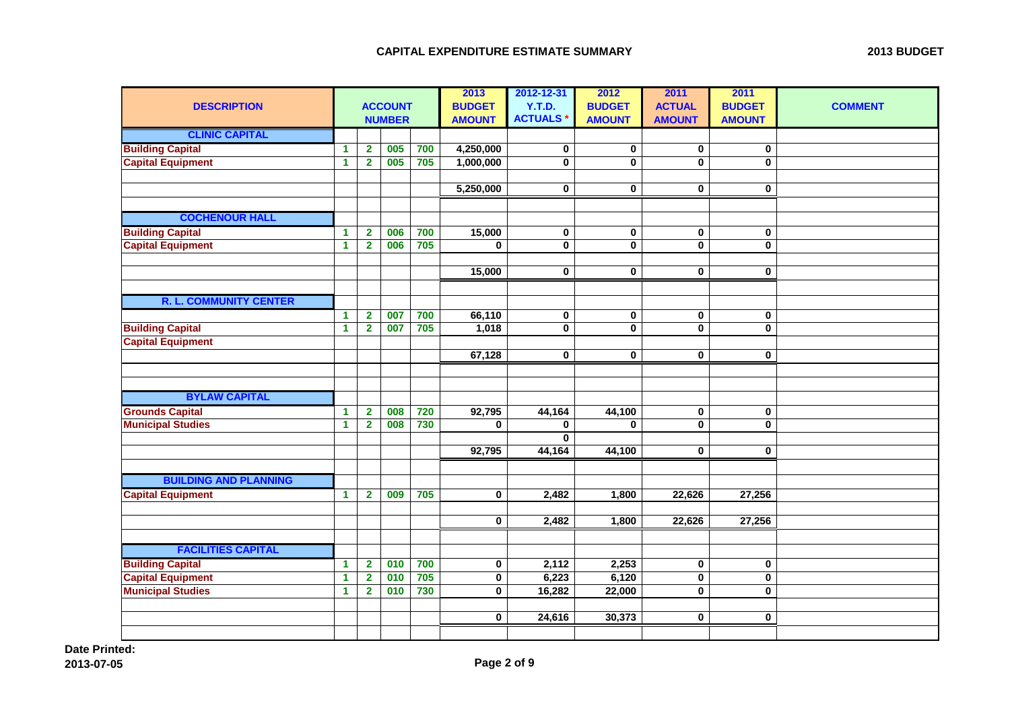| <b>DESCRIPTION</b>            |                      |                         | <b>ACCOUNT</b><br><b>NUMBER</b> |     | 2013<br><b>BUDGET</b><br><b>AMOUNT</b> | 2012-12-31<br>Y.T.D.<br><b>ACTUALS*</b> | 2012<br><b>BUDGET</b><br><b>AMOUNT</b> | 2011<br><b>ACTUAL</b><br><b>AMOUNT</b> | 2011<br><b>BUDGET</b><br><b>AMOUNT</b> | <b>COMMENT</b> |
|-------------------------------|----------------------|-------------------------|---------------------------------|-----|----------------------------------------|-----------------------------------------|----------------------------------------|----------------------------------------|----------------------------------------|----------------|
| <b>CLINIC CAPITAL</b>         |                      |                         |                                 |     |                                        |                                         |                                        |                                        |                                        |                |
| <b>Building Capital</b>       | $\mathbf{1}$         | $\overline{\mathbf{2}}$ | 005                             | 700 | 4,250,000                              | $\pmb{0}$                               | $\pmb{0}$                              | $\pmb{0}$                              | $\pmb{0}$                              |                |
| <b>Capital Equipment</b>      | $\mathbf{1}$         | $\overline{2}$          | 005                             | 705 | 1,000,000                              | $\pmb{0}$                               | $\mathbf 0$                            | $\mathbf 0$                            | 0                                      |                |
|                               |                      |                         |                                 |     |                                        |                                         |                                        |                                        |                                        |                |
|                               |                      |                         |                                 |     | 5,250,000                              | 0                                       | $\bf{0}$                               | $\bf{0}$                               | 0                                      |                |
|                               |                      |                         |                                 |     |                                        |                                         |                                        |                                        |                                        |                |
| <b>COCHENOUR HALL</b>         |                      |                         |                                 |     |                                        |                                         |                                        |                                        |                                        |                |
| <b>Building Capital</b>       | $\blacktriangleleft$ | $\mathbf 2$             | 006                             | 700 | 15,000                                 | 0                                       | $\bf{0}$                               | 0                                      | 0                                      |                |
| <b>Capital Equipment</b>      | $\mathbf{1}$         | $\overline{2}$          | 006                             | 705 | $\mathbf 0$                            | $\pmb{0}$                               | $\mathbf 0$                            | $\overline{\textbf{0}}$                | 0                                      |                |
|                               |                      |                         |                                 |     |                                        |                                         |                                        |                                        |                                        |                |
|                               |                      |                         |                                 |     | 15,000                                 | $\bf{0}$                                | $\bf{0}$                               | $\mathbf 0$                            | 0                                      |                |
|                               |                      |                         |                                 |     |                                        |                                         |                                        |                                        |                                        |                |
| <b>R. L. COMMUNITY CENTER</b> |                      |                         |                                 |     |                                        |                                         |                                        |                                        |                                        |                |
|                               | $\mathbf{1}$         | $\overline{\mathbf{2}}$ | 007                             | 700 | 66,110                                 | $\pmb{0}$                               | $\bf{0}$                               | $\pmb{0}$                              | 0                                      |                |
| <b>Building Capital</b>       | $\blacktriangleleft$ | $\overline{\mathbf{2}}$ | 007                             | 705 | 1,018                                  | $\overline{\mathbf{0}}$                 | $\mathbf 0$                            | $\mathbf 0$                            | 0                                      |                |
| <b>Capital Equipment</b>      |                      |                         |                                 |     |                                        |                                         |                                        |                                        |                                        |                |
|                               |                      |                         |                                 |     | 67,128                                 | $\mathbf 0$                             | $\mathbf 0$                            | $\mathbf 0$                            | 0                                      |                |
|                               |                      |                         |                                 |     |                                        |                                         |                                        |                                        |                                        |                |
|                               |                      |                         |                                 |     |                                        |                                         |                                        |                                        |                                        |                |
| <b>BYLAW CAPITAL</b>          |                      |                         |                                 |     |                                        |                                         |                                        |                                        |                                        |                |
| <b>Grounds Capital</b>        | $\blacktriangleleft$ | $\mathbf 2$             | 008                             | 720 | 92,795                                 | 44,164                                  | 44,100                                 | $\mathbf 0$                            | $\bf{0}$                               |                |
| <b>Municipal Studies</b>      | $\mathbf{1}$         | $\overline{\mathbf{2}}$ | 008                             | 730 | $\bf{0}$                               | $\bf{0}$                                | 0                                      | $\mathbf 0$                            | 0                                      |                |
|                               |                      |                         |                                 |     |                                        | $\bf{0}$                                |                                        |                                        |                                        |                |
|                               |                      |                         |                                 |     | 92,795                                 | 44,164                                  | 44,100                                 | $\bf{0}$                               | 0                                      |                |
|                               |                      |                         |                                 |     |                                        |                                         |                                        |                                        |                                        |                |
| <b>BUILDING AND PLANNING</b>  |                      |                         |                                 |     |                                        |                                         |                                        |                                        |                                        |                |
| <b>Capital Equipment</b>      | $\blacktriangleleft$ | $\mathbf{2}$            | 009                             | 705 | 0                                      | 2,482                                   | 1,800                                  | 22,626                                 | 27,256                                 |                |
|                               |                      |                         |                                 |     |                                        |                                         |                                        |                                        |                                        |                |
|                               |                      |                         |                                 |     | $\mathbf 0$                            | 2,482                                   | 1,800                                  | 22,626                                 | 27,256                                 |                |
|                               |                      |                         |                                 |     |                                        |                                         |                                        |                                        |                                        |                |
| <b>FACILITIES CAPITAL</b>     |                      |                         |                                 |     |                                        |                                         |                                        |                                        |                                        |                |
| <b>Building Capital</b>       | $\blacktriangleleft$ | $\mathbf 2$             | 010                             | 700 | $\mathbf 0$                            | 2,112                                   | 2,253                                  | $\bf{0}$                               | $\pmb{0}$                              |                |
| <b>Capital Equipment</b>      | $\mathbf{1}$         | $\overline{\mathbf{2}}$ | 010                             | 705 | $\pmb{0}$                              | 6,223                                   | 6,120                                  | $\overline{\mathbf{0}}$                | $\overline{\mathbf{0}}$                |                |
| <b>Municipal Studies</b>      | $\blacktriangleleft$ | $\mathbf{2}$            | 010                             | 730 | 0                                      | 16,282                                  | 22,000                                 | 0                                      | 0                                      |                |
|                               |                      |                         |                                 |     |                                        |                                         |                                        |                                        |                                        |                |
|                               |                      |                         |                                 |     | $\mathbf 0$                            | 24,616                                  | 30,373                                 | $\bf{0}$                               | 0                                      |                |
|                               |                      |                         |                                 |     |                                        |                                         |                                        |                                        |                                        |                |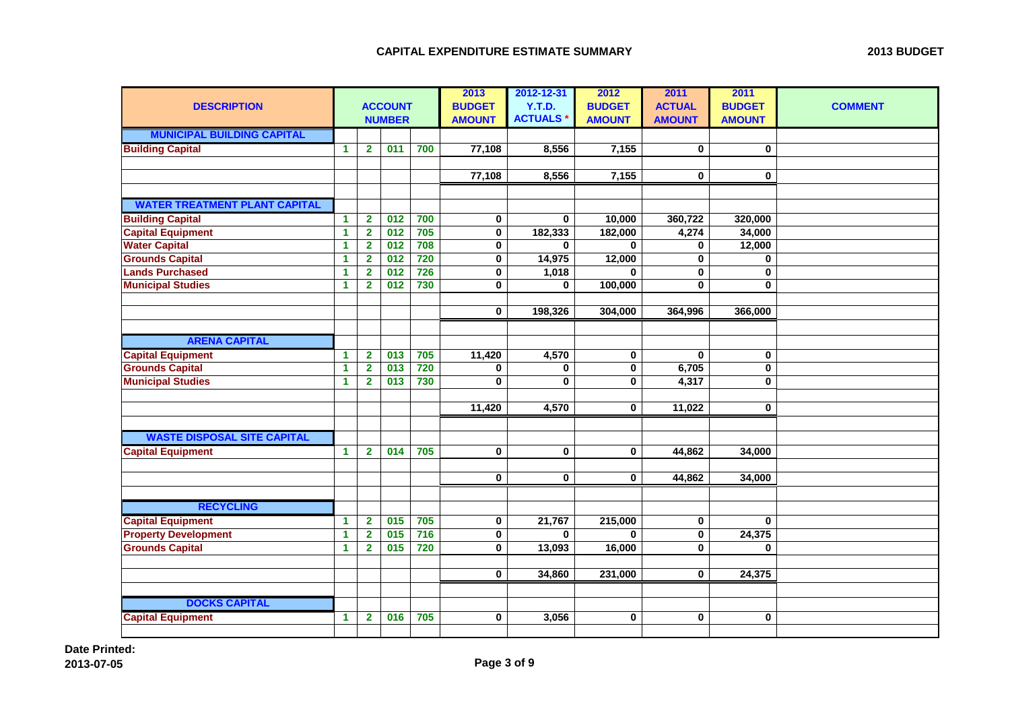| <b>DESCRIPTION</b>                   |              |                         | <b>ACCOUNT</b><br><b>NUMBER</b> |     | 2013<br><b>BUDGET</b><br><b>AMOUNT</b> | 2012-12-31<br>Y.T.D.<br><b>ACTUALS*</b> | 2012<br><b>BUDGET</b><br><b>AMOUNT</b> | 2011<br><b>ACTUAL</b><br><b>AMOUNT</b> | 2011<br><b>BUDGET</b><br><b>AMOUNT</b> | <b>COMMENT</b> |
|--------------------------------------|--------------|-------------------------|---------------------------------|-----|----------------------------------------|-----------------------------------------|----------------------------------------|----------------------------------------|----------------------------------------|----------------|
| <b>MUNICIPAL BUILDING CAPITAL</b>    |              |                         |                                 |     |                                        |                                         |                                        |                                        |                                        |                |
| <b>Building Capital</b>              | $\mathbf{1}$ | $\overline{\mathbf{2}}$ | 011                             | 700 | 77,108                                 | 8,556                                   | 7,155                                  | $\mathbf 0$                            | $\mathbf 0$                            |                |
|                                      |              |                         |                                 |     |                                        |                                         |                                        |                                        |                                        |                |
|                                      |              |                         |                                 |     | 77,108                                 | 8,556                                   | 7,155                                  | 0                                      | 0                                      |                |
|                                      |              |                         |                                 |     |                                        |                                         |                                        |                                        |                                        |                |
| <b>WATER TREATMENT PLANT CAPITAL</b> |              |                         |                                 |     |                                        |                                         |                                        |                                        |                                        |                |
| <b>Building Capital</b>              | 1            | $\overline{2}$          | 012                             | 700 | $\bf{0}$                               | $\mathbf 0$                             | 10,000                                 | 360,722                                | 320,000                                |                |
| <b>Capital Equipment</b>             | 1            | $\overline{2}$          | 012                             | 705 | $\mathbf 0$                            | 182,333                                 | 182,000                                | 4,274                                  | 34,000                                 |                |
| <b>Water Capital</b>                 | 1            | $\mathbf{2}$            | 012                             | 708 | 0                                      | $\mathbf{0}$                            | $\mathbf{0}$                           | $\bf{0}$                               | 12,000                                 |                |
| <b>Grounds Capital</b>               | 1            | $\overline{\mathbf{2}}$ | 012                             | 720 | 0                                      | 14,975                                  | 12,000                                 | 0                                      | $\mathbf 0$                            |                |
| <b>Lands Purchased</b>               | 1            | $\mathbf{2}$            | 012                             | 726 | 0                                      | 1,018                                   | 0                                      | 0                                      | $\mathbf 0$                            |                |
| <b>Municipal Studies</b>             | 1            | $\mathbf{2}$            | 012                             | 730 | 0                                      | $\mathbf{0}$                            | 100,000                                | $\mathbf 0$                            | $\mathbf 0$                            |                |
|                                      |              |                         |                                 |     |                                        |                                         |                                        |                                        |                                        |                |
|                                      |              |                         |                                 |     | $\mathbf 0$                            | 198,326                                 | 304,000                                | 364,996                                | 366,000                                |                |
|                                      |              |                         |                                 |     |                                        |                                         |                                        |                                        |                                        |                |
| <b>ARENA CAPITAL</b>                 |              |                         |                                 |     |                                        |                                         |                                        |                                        |                                        |                |
| <b>Capital Equipment</b>             | $\mathbf{1}$ | $\mathbf{2}$            | 013                             | 705 | 11,420                                 | 4,570                                   | $\mathbf 0$                            | $\mathbf{0}$                           | $\mathbf 0$                            |                |
| <b>Grounds Capital</b>               | 1            | $\overline{2}$          | 013                             | 720 | 0                                      | $\mathbf 0$                             | 0                                      | 6,705                                  | $\bf{0}$                               |                |
| <b>Municipal Studies</b>             | 1            | $\mathbf{2}$            | 013                             | 730 | 0                                      | $\bf{0}$                                | $\mathbf 0$                            | 4,317                                  | $\mathbf 0$                            |                |
|                                      |              |                         |                                 |     |                                        |                                         |                                        |                                        |                                        |                |
|                                      |              |                         |                                 |     | 11,420                                 | 4,570                                   | $\mathbf 0$                            | 11,022                                 | $\mathbf 0$                            |                |
|                                      |              |                         |                                 |     |                                        |                                         |                                        |                                        |                                        |                |
| <b>WASTE DISPOSAL SITE CAPITAL</b>   |              |                         |                                 |     |                                        |                                         |                                        |                                        |                                        |                |
| <b>Capital Equipment</b>             | $\mathbf{1}$ | $\mathbf{2}$            | 014                             | 705 | $\mathbf 0$                            | $\mathbf 0$                             | $\mathbf 0$                            | 44,862                                 | 34,000                                 |                |
|                                      |              |                         |                                 |     |                                        |                                         |                                        |                                        |                                        |                |
|                                      |              |                         |                                 |     | 0                                      | $\mathbf 0$                             | 0                                      | 44,862                                 | 34,000                                 |                |
|                                      |              |                         |                                 |     |                                        |                                         |                                        |                                        |                                        |                |
| <b>RECYCLING</b>                     |              |                         |                                 |     |                                        |                                         |                                        |                                        |                                        |                |
| <b>Capital Equipment</b>             | 1            | $\mathbf{2}$            | 015                             | 705 | 0                                      | 21,767                                  | 215,000                                | $\bf{0}$                               | 0                                      |                |
| <b>Property Development</b>          | 1            | $\overline{2}$          | 015                             | 716 | 0                                      | $\mathbf{0}$                            | $\mathbf{0}$                           | $\overline{\mathbf{0}}$                | 24,375                                 |                |
| <b>Grounds Capital</b>               | 1            | $\mathbf{2}$            | 015                             | 720 | 0                                      | 13,093                                  | 16,000                                 | $\mathbf 0$                            | $\bf{0}$                               |                |
|                                      |              |                         |                                 |     |                                        |                                         |                                        |                                        |                                        |                |
|                                      |              |                         |                                 |     | $\mathbf 0$                            | 34,860                                  | 231,000                                | 0                                      | 24,375                                 |                |
|                                      |              |                         |                                 |     |                                        |                                         |                                        |                                        |                                        |                |
| <b>DOCKS CAPITAL</b>                 |              |                         |                                 |     |                                        |                                         |                                        |                                        |                                        |                |
| <b>Capital Equipment</b>             | 1            | $\overline{2}$          | 016                             | 705 | $\bf{0}$                               | 3,056                                   | $\mathbf 0$                            | $\mathbf 0$                            | $\bf{0}$                               |                |
|                                      |              |                         |                                 |     |                                        |                                         |                                        |                                        |                                        |                |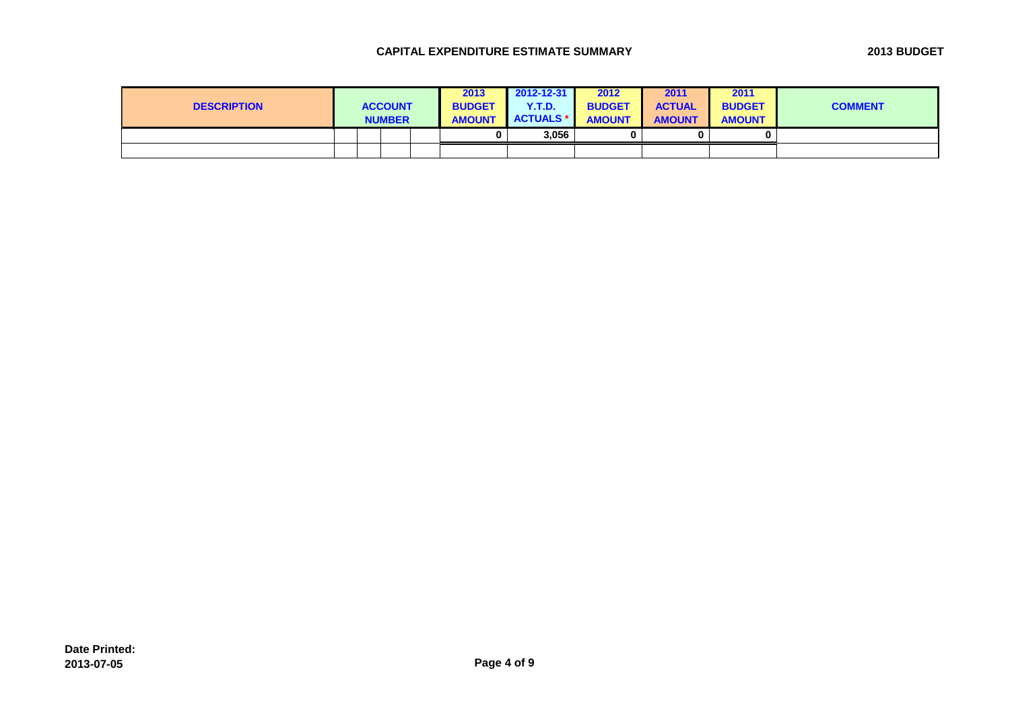## **CAPITAL EXPENDITURE ESTIMATE SUMMARY 2013 BUDGET**

| <b>DESCRIPTION</b> |  | <b>ACCOUNT</b><br><b>NUMBER</b> | 2013<br><b>BUDGET</b><br><b>AMOUNT</b> | 2012-12-31<br><b>Y.T.D.</b><br><b>ACTUALS *</b> | 2012<br><b>BUDGET</b><br><b>AMOUNT</b> | 2011<br><b>ACTUAL</b><br><b>AMOUNT</b> | 2011<br><b>BUDGET</b><br><b>AMOUNT</b> | <b>COMMENT</b> |
|--------------------|--|---------------------------------|----------------------------------------|-------------------------------------------------|----------------------------------------|----------------------------------------|----------------------------------------|----------------|
|                    |  |                                 |                                        | 3,056                                           |                                        |                                        |                                        |                |
|                    |  |                                 |                                        |                                                 |                                        |                                        |                                        |                |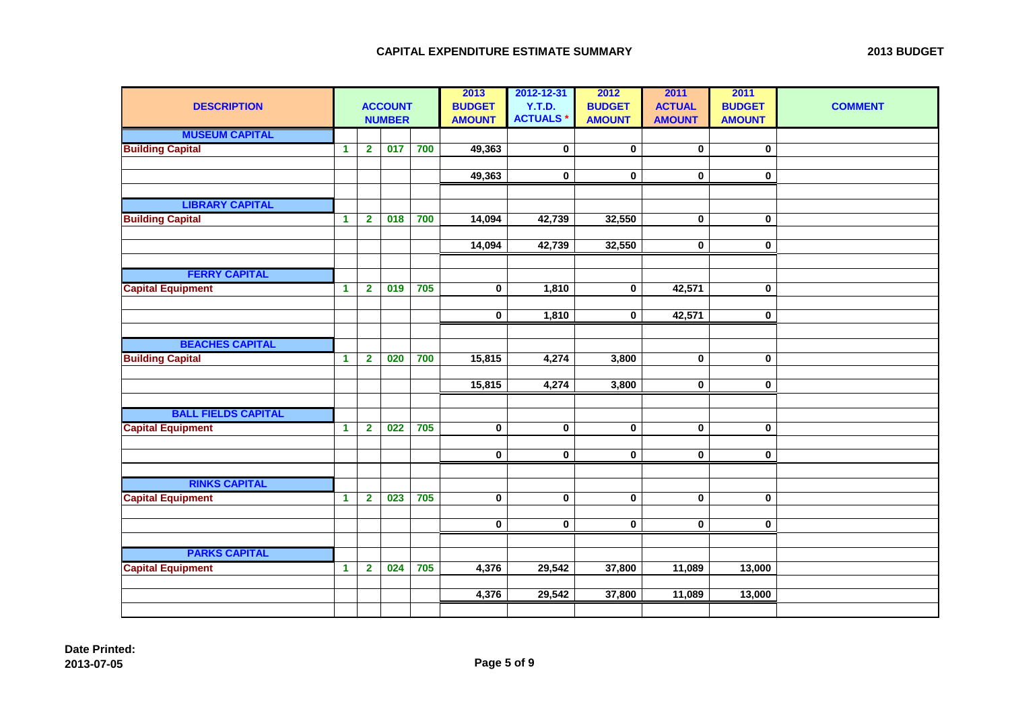|  | <b>2013 BUDGET</b> |
|--|--------------------|
|--|--------------------|

| <b>DESCRIPTION</b>         |                      |                | <b>ACCOUNT</b><br><b>NUMBER</b> |     | 2013<br><b>BUDGET</b><br><b>AMOUNT</b> | 2012-12-31<br><b>Y.T.D.</b><br><b>ACTUALS*</b> | 2012<br><b>BUDGET</b><br><b>AMOUNT</b> | 2011<br><b>ACTUAL</b><br><b>AMOUNT</b> | 2011<br><b>BUDGET</b><br><b>AMOUNT</b> | <b>COMMENT</b> |
|----------------------------|----------------------|----------------|---------------------------------|-----|----------------------------------------|------------------------------------------------|----------------------------------------|----------------------------------------|----------------------------------------|----------------|
| <b>MUSEUM CAPITAL</b>      |                      |                |                                 |     |                                        |                                                |                                        |                                        |                                        |                |
| <b>Building Capital</b>    | $\blacktriangleleft$ | $\overline{2}$ | 017                             | 700 | 49,363                                 | 0                                              | $\bf{0}$                               | $\bf{0}$                               | $\mathbf 0$                            |                |
|                            |                      |                |                                 |     |                                        |                                                |                                        |                                        |                                        |                |
|                            |                      |                |                                 |     | 49,363                                 | 0                                              | $\mathbf 0$                            | $\mathbf 0$                            | 0                                      |                |
| <b>LIBRARY CAPITAL</b>     |                      |                |                                 |     |                                        |                                                |                                        |                                        |                                        |                |
|                            |                      |                |                                 |     |                                        |                                                |                                        |                                        |                                        |                |
| <b>Building Capital</b>    | $\mathbf{1}$         | $\overline{2}$ | 018                             | 700 | 14,094                                 | 42,739                                         | 32,550                                 | $\bf{0}$                               | $\mathbf 0$                            |                |
|                            |                      |                |                                 |     | 14,094                                 | 42,739                                         | 32,550                                 | 0                                      | 0                                      |                |
|                            |                      |                |                                 |     |                                        |                                                |                                        |                                        |                                        |                |
| <b>FERRY CAPITAL</b>       |                      |                |                                 |     |                                        |                                                |                                        |                                        |                                        |                |
| <b>Capital Equipment</b>   | $\blacktriangleleft$ | $\overline{2}$ | 019                             | 705 | $\bf{0}$                               | 1,810                                          | $\bf{0}$                               | 42,571                                 | 0                                      |                |
|                            |                      |                |                                 |     |                                        |                                                |                                        |                                        |                                        |                |
|                            |                      |                |                                 |     | $\mathbf 0$                            | 1,810                                          | $\mathbf 0$                            | 42,571                                 | $\mathbf 0$                            |                |
|                            |                      |                |                                 |     |                                        |                                                |                                        |                                        |                                        |                |
| <b>BEACHES CAPITAL</b>     |                      |                |                                 |     |                                        |                                                |                                        |                                        |                                        |                |
| <b>Building Capital</b>    | $\mathbf{1}$         | $\overline{2}$ | 020                             | 700 | 15,815                                 | 4,274                                          | 3,800                                  | $\bf{0}$                               | $\pmb{0}$                              |                |
|                            |                      |                |                                 |     |                                        |                                                |                                        |                                        |                                        |                |
|                            |                      |                |                                 |     | 15,815                                 | 4,274                                          | 3,800                                  | $\bf{0}$                               | $\mathbf 0$                            |                |
|                            |                      |                |                                 |     |                                        |                                                |                                        |                                        |                                        |                |
| <b>BALL FIELDS CAPITAL</b> |                      |                |                                 |     |                                        |                                                |                                        |                                        |                                        |                |
| <b>Capital Equipment</b>   | $\mathbf{1}$         | $\overline{2}$ | 022                             | 705 | $\pmb{0}$                              | $\pmb{0}$                                      | $\bf{0}$                               | $\bf{0}$                               | $\mathbf 0$                            |                |
|                            |                      |                |                                 |     | $\pmb{0}$                              | 0                                              | $\mathbf 0$                            | $\mathbf 0$                            | 0                                      |                |
|                            |                      |                |                                 |     |                                        |                                                |                                        |                                        |                                        |                |
| <b>RINKS CAPITAL</b>       |                      |                |                                 |     |                                        |                                                |                                        |                                        |                                        |                |
| <b>Capital Equipment</b>   | $\mathbf{1}$         | $\mathbf 2$    | 023                             | 705 | $\mathbf 0$                            | $\pmb{0}$                                      | $\mathbf 0$                            | $\bf{0}$                               | $\mathbf 0$                            |                |
|                            |                      |                |                                 |     |                                        |                                                |                                        |                                        |                                        |                |
|                            |                      |                |                                 |     | $\mathbf 0$                            | 0                                              | $\mathbf 0$                            | $\bf{0}$                               | $\mathbf 0$                            |                |
|                            |                      |                |                                 |     |                                        |                                                |                                        |                                        |                                        |                |
| <b>PARKS CAPITAL</b>       |                      |                |                                 |     |                                        |                                                |                                        |                                        |                                        |                |
| <b>Capital Equipment</b>   | $\blacktriangleleft$ | $\mathbf{2}$   | 024                             | 705 | 4,376                                  | 29,542                                         | 37,800                                 | 11,089                                 | 13,000                                 |                |
|                            |                      |                |                                 |     |                                        |                                                |                                        |                                        |                                        |                |
|                            |                      |                |                                 |     | 4,376                                  | 29,542                                         | 37,800                                 | 11,089                                 | 13,000                                 |                |
|                            |                      |                |                                 |     |                                        |                                                |                                        |                                        |                                        |                |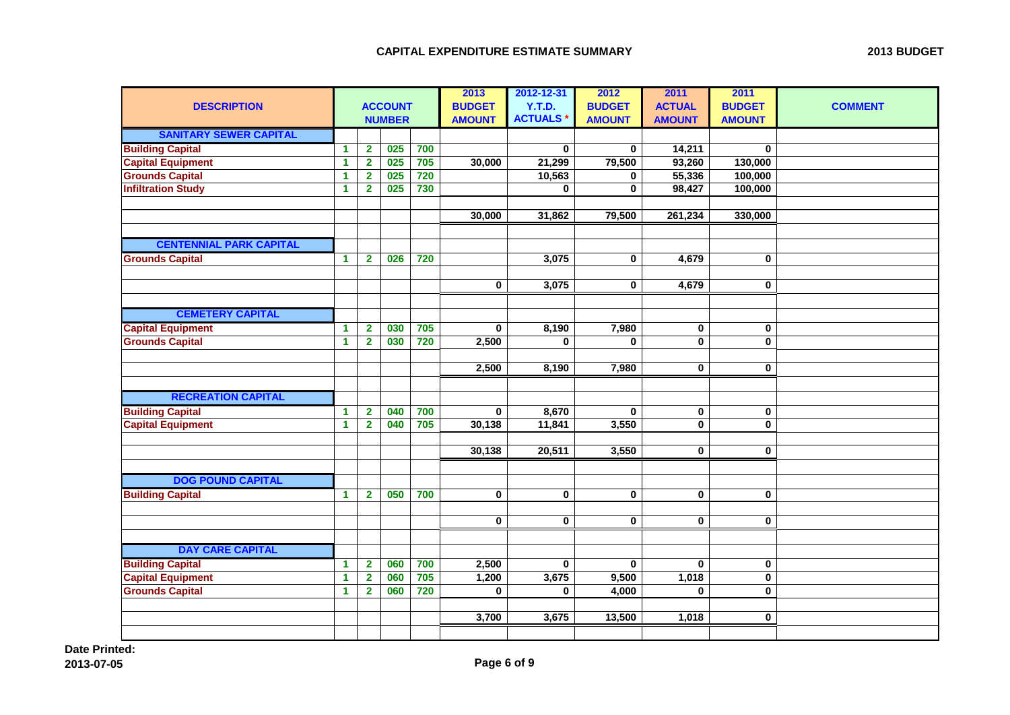| <b>DESCRIPTION</b>                                  |              |                              | <b>ACCOUNT</b><br><b>NUMBER</b> |            | 2013<br><b>BUDGET</b><br><b>AMOUNT</b> | 2012-12-31<br>Y.T.D.<br><b>ACTUALS*</b> | 2012<br><b>BUDGET</b><br><b>AMOUNT</b> | 2011<br><b>ACTUAL</b><br><b>AMOUNT</b> | 2011<br><b>BUDGET</b><br><b>AMOUNT</b> | <b>COMMENT</b> |
|-----------------------------------------------------|--------------|------------------------------|---------------------------------|------------|----------------------------------------|-----------------------------------------|----------------------------------------|----------------------------------------|----------------------------------------|----------------|
| <b>SANITARY SEWER CAPITAL</b>                       |              |                              |                                 |            |                                        |                                         |                                        |                                        |                                        |                |
| <b>Building Capital</b>                             | 1            | $\mathbf 2$                  | 025                             | 700        |                                        | $\bf{0}$                                | 0                                      | 14,211                                 | $\mathbf 0$                            |                |
| <b>Capital Equipment</b>                            | $\mathbf{1}$ | $\mathbf{2}$                 | 025                             | 705<br>720 | 30,000                                 | 21,299                                  | 79,500                                 | 93,260                                 | 130,000                                |                |
| <b>Grounds Capital</b><br><b>Infiltration Study</b> | 1<br>1       | $\mathbf{2}$<br>$\mathbf{2}$ | 025<br>025                      | 730        |                                        | 10,563<br>$\bf{0}$                      | 0<br>0                                 | 55,336<br>98,427                       | 100,000<br>100,000                     |                |
|                                                     |              |                              |                                 |            |                                        |                                         |                                        |                                        |                                        |                |
|                                                     |              |                              |                                 |            | 30,000                                 | 31,862                                  | 79,500                                 | 261,234                                | 330,000                                |                |
|                                                     |              |                              |                                 |            |                                        |                                         |                                        |                                        |                                        |                |
| <b>CENTENNIAL PARK CAPITAL</b>                      |              |                              |                                 |            |                                        |                                         |                                        |                                        |                                        |                |
| <b>Grounds Capital</b>                              | 1            | $\mathbf{2}$                 | 026                             | 720        |                                        | 3,075                                   | $\mathbf 0$                            | 4,679                                  | 0                                      |                |
|                                                     |              |                              |                                 |            | $\pmb{0}$                              | 3,075                                   | $\mathbf 0$                            | 4,679                                  | 0                                      |                |
|                                                     |              |                              |                                 |            |                                        |                                         |                                        |                                        |                                        |                |
| <b>CEMETERY CAPITAL</b>                             |              |                              |                                 |            |                                        |                                         |                                        |                                        |                                        |                |
| <b>Capital Equipment</b>                            | $\mathbf{1}$ | $\mathbf{2}$                 | 030                             | 705        | $\mathbf 0$                            | 8,190                                   | 7,980                                  | $\mathbf 0$                            | 0                                      |                |
| <b>Grounds Capital</b>                              | $\mathbf{1}$ | $\overline{2}$               | 030                             | 720        | 2,500                                  | $\bf{0}$                                | $\mathbf{0}$                           | $\mathbf 0$                            | $\mathbf{0}$                           |                |
|                                                     |              |                              |                                 |            |                                        |                                         |                                        |                                        |                                        |                |
|                                                     |              |                              |                                 |            | 2,500                                  | 8,190                                   | 7,980                                  | $\mathbf 0$                            | 0                                      |                |
|                                                     |              |                              |                                 |            |                                        |                                         |                                        |                                        |                                        |                |
| <b>RECREATION CAPITAL</b>                           |              |                              |                                 |            |                                        |                                         |                                        |                                        |                                        |                |
| <b>Building Capital</b>                             | 1            | $\overline{\mathbf{2}}$      | 040                             | 700        | $\mathbf 0$                            | 8,670                                   | $\mathbf 0$                            | $\pmb{0}$                              | 0                                      |                |
| <b>Capital Equipment</b>                            | 1            | $\mathbf{2}$                 | 040                             | 705        | 30,138                                 | 11,841                                  | 3,550                                  | $\mathbf 0$                            | $\mathbf{0}$                           |                |
|                                                     |              |                              |                                 |            |                                        |                                         |                                        |                                        |                                        |                |
|                                                     |              |                              |                                 |            | 30,138                                 | 20,511                                  | 3,550                                  | $\mathbf 0$                            | 0                                      |                |
|                                                     |              |                              |                                 |            |                                        |                                         |                                        |                                        |                                        |                |
| <b>DOG POUND CAPITAL</b>                            |              |                              |                                 |            |                                        |                                         |                                        |                                        |                                        |                |
| <b>Building Capital</b>                             | $\mathbf{1}$ | $\mathbf{2}$                 | 050                             | 700        | $\overline{\mathbf{0}}$                | $\bf{0}$                                | $\mathbf 0$                            | $\mathbf 0$                            | 0                                      |                |
|                                                     |              |                              |                                 |            |                                        |                                         |                                        |                                        |                                        |                |
|                                                     |              |                              |                                 |            | $\mathbf 0$                            | $\mathbf 0$                             | $\mathbf{0}$                           | $\mathbf 0$                            | $\mathbf 0$                            |                |
|                                                     |              |                              |                                 |            |                                        |                                         |                                        |                                        |                                        |                |
| <b>DAY CARE CAPITAL</b>                             |              |                              |                                 |            |                                        |                                         |                                        |                                        |                                        |                |
| <b>Building Capital</b>                             | 1            | $\mathbf{2}$                 | 060                             | 700        | 2,500                                  | $\bf{0}$                                | $\mathbf{0}$                           | $\mathbf{0}$                           | 0                                      |                |
| <b>Capital Equipment</b>                            | 1            | $\mathbf{2}$                 | 060                             | 705        | 1,200                                  | 3,675                                   | 9,500                                  | 1,018                                  | $\pmb{0}$                              |                |
| <b>Grounds Capital</b>                              | 1            | $\mathbf{2}$                 | 060                             | 720        | $\bf{0}$                               | $\bf{0}$                                | 4,000                                  | $\mathbf 0$                            | 0                                      |                |
|                                                     |              |                              |                                 |            | 3,700                                  | 3,675                                   | 13,500                                 | 1,018                                  | $\mathbf{0}$                           |                |
|                                                     |              |                              |                                 |            |                                        |                                         |                                        |                                        |                                        |                |
|                                                     |              |                              |                                 |            |                                        |                                         |                                        |                                        |                                        |                |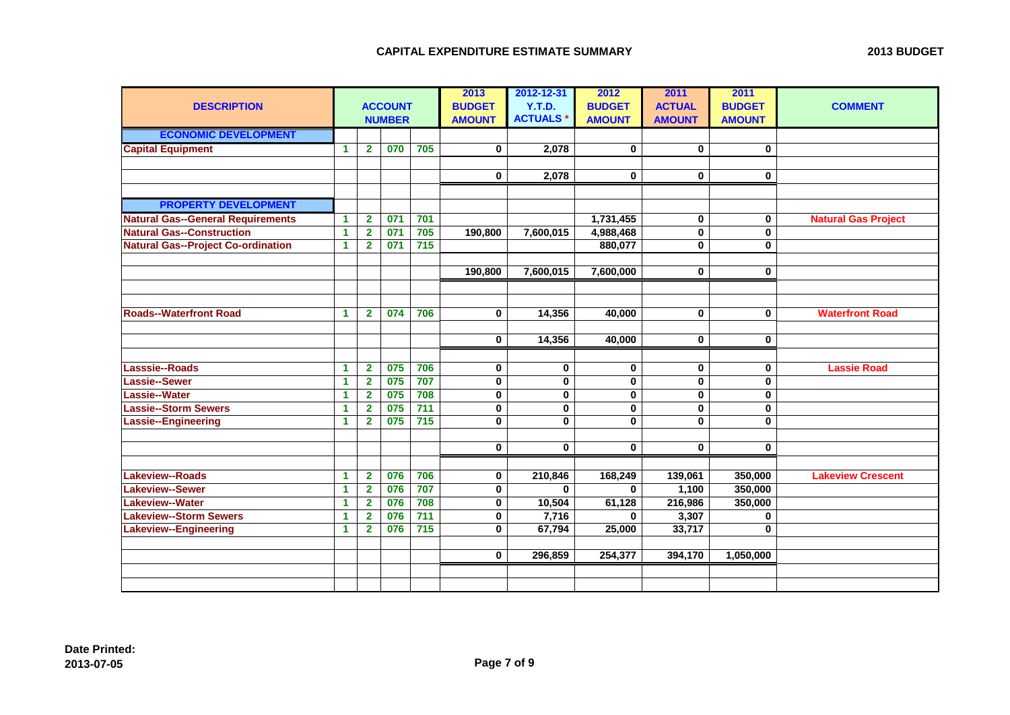|  | <b>2013 BUDGET</b> |
|--|--------------------|
|--|--------------------|

| <b>DESCRIPTION</b>                        |                      |                         | <b>ACCOUNT</b><br><b>NUMBER</b> |                  | 2013<br><b>BUDGET</b><br><b>AMOUNT</b> | 2012-12-31<br>Y.T.D.<br><b>ACTUALS*</b> | 2012<br><b>BUDGET</b><br><b>AMOUNT</b> | 2011<br><b>ACTUAL</b><br><b>AMOUNT</b> | 2011<br><b>BUDGET</b><br><b>AMOUNT</b> | <b>COMMENT</b>             |
|-------------------------------------------|----------------------|-------------------------|---------------------------------|------------------|----------------------------------------|-----------------------------------------|----------------------------------------|----------------------------------------|----------------------------------------|----------------------------|
| <b>ECONOMIC DEVELOPMENT</b>               |                      |                         |                                 |                  |                                        |                                         |                                        |                                        |                                        |                            |
| <b>Capital Equipment</b>                  | $\blacktriangleleft$ | $\overline{2}$          | 070                             | 705              | $\mathbf 0$                            | 2,078                                   | $\mathbf 0$                            | $\mathbf{0}$                           | 0                                      |                            |
|                                           |                      |                         |                                 |                  |                                        |                                         |                                        |                                        |                                        |                            |
|                                           |                      |                         |                                 |                  | $\mathbf 0$                            | 2,078                                   | $\mathbf 0$                            | $\mathbf 0$                            | 0                                      |                            |
|                                           |                      |                         |                                 |                  |                                        |                                         |                                        |                                        |                                        |                            |
| <b>PROPERTY DEVELOPMENT</b>               |                      |                         |                                 |                  |                                        |                                         |                                        |                                        |                                        |                            |
| <b>Natural Gas--General Requirements</b>  | $\blacktriangleleft$ | $\mathbf 2$             | 071                             | 701              |                                        |                                         | 1,731,455                              | 0                                      | 0                                      | <b>Natural Gas Project</b> |
| <b>Natural Gas--Construction</b>          | $\blacktriangleleft$ | $\overline{\mathbf{2}}$ | 071                             | 705              | 190,800                                | 7,600,015                               | 4,988,468                              | $\mathbf 0$                            | 0                                      |                            |
| <b>Natural Gas--Project Co-ordination</b> | $\blacktriangleleft$ | $\overline{2}$          | 071                             | 715              |                                        |                                         | 880,077                                | $\bf{0}$                               | 0                                      |                            |
|                                           |                      |                         |                                 |                  |                                        |                                         |                                        |                                        |                                        |                            |
|                                           |                      |                         |                                 |                  | 190,800                                | 7,600,015                               | 7,600,000                              | $\mathbf 0$                            | 0                                      |                            |
|                                           |                      |                         |                                 |                  |                                        |                                         |                                        |                                        |                                        |                            |
|                                           |                      |                         |                                 |                  |                                        |                                         |                                        |                                        |                                        |                            |
| <b>Roads--Waterfront Road</b>             | $\blacktriangleleft$ | $\mathbf{2}$            | 074                             | 706              | $\mathbf 0$                            | 14,356                                  | 40,000                                 | $\mathbf 0$                            | 0                                      | <b>Waterfront Road</b>     |
|                                           |                      |                         |                                 |                  |                                        |                                         |                                        |                                        |                                        |                            |
|                                           |                      |                         |                                 |                  | $\mathbf 0$                            | 14,356                                  | 40,000                                 | $\mathbf 0$                            | 0                                      |                            |
|                                           |                      |                         |                                 |                  |                                        |                                         |                                        |                                        |                                        |                            |
| Lasssie--Roads                            | $\blacktriangleleft$ | $\overline{2}$          | 075                             | 706              | $\mathbf 0$                            | $\pmb{0}$                               | $\mathbf 0$                            | $\mathbf 0$                            | 0                                      | <b>Lassie Road</b>         |
| Lassie--Sewer                             | $\blacktriangleleft$ | $\overline{\mathbf{2}}$ | 075                             | 707              | $\mathbf 0$                            | $\mathbf 0$                             | $\mathbf{0}$                           | $\mathbf{0}$                           | 0                                      |                            |
| Lassie--Water                             | $\blacktriangleleft$ | $\overline{2}$          | 075                             | 708              | $\mathbf 0$                            | 0                                       | 0                                      | $\bf{0}$                               | 0                                      |                            |
| Lassie--Storm Sewers                      | $\blacktriangleleft$ | $\overline{2}$          | 075                             | $711$            | 0                                      | 0                                       | $\mathbf 0$                            | $\bf{0}$                               | 0                                      |                            |
| Lassie--Engineering                       | $\blacktriangleleft$ | $\mathbf{2}$            | 075                             | $\overline{715}$ | $\bf{0}$                               | $\bf{0}$                                | 0                                      | 0                                      | 0                                      |                            |
|                                           |                      |                         |                                 |                  |                                        |                                         |                                        |                                        |                                        |                            |
|                                           |                      |                         |                                 |                  | $\mathbf 0$                            | $\mathbf 0$                             | $\mathbf 0$                            | $\mathbf 0$                            | $\mathbf 0$                            |                            |
|                                           |                      |                         |                                 |                  |                                        |                                         |                                        |                                        |                                        |                            |
| <b>Lakeview--Roads</b>                    | $\blacktriangleleft$ | $\overline{2}$          | 076                             | 706              | $\mathbf 0$                            | 210,846                                 | 168,249                                | 139,061                                | 350,000                                | <b>Lakeview Crescent</b>   |
| <b>Lakeview--Sewer</b>                    | $\blacktriangleleft$ | $\mathbf{2}$            | 076                             | 707              | $\mathbf 0$                            | $\bf{0}$                                | 0                                      | 1,100                                  | 350,000                                |                            |
| <b>Lakeview--Water</b>                    | $\blacktriangleleft$ | $\mathbf{2}$            | 076                             | 708              | 0                                      | 10,504                                  | 61,128                                 | 216,986                                | 350,000                                |                            |
| <b>Lakeview--Storm Sewers</b>             | $\blacktriangleleft$ | $\mathbf{2}$            | 076                             | $\overline{711}$ | $\bf{0}$                               | 7,716                                   | 0                                      | 3,307                                  | 0                                      |                            |
| <b>Lakeview--Engineering</b>              | $\mathbf{1}$         | $\overline{2}$          | 076                             | $\overline{715}$ | $\mathbf 0$                            | 67,794                                  | 25,000                                 | 33,717                                 | 0                                      |                            |
|                                           |                      |                         |                                 |                  |                                        |                                         |                                        |                                        |                                        |                            |
|                                           |                      |                         |                                 |                  | $\mathbf 0$                            | 296,859                                 | 254,377                                | 394,170                                | 1,050,000                              |                            |
|                                           |                      |                         |                                 |                  |                                        |                                         |                                        |                                        |                                        |                            |
|                                           |                      |                         |                                 |                  |                                        |                                         |                                        |                                        |                                        |                            |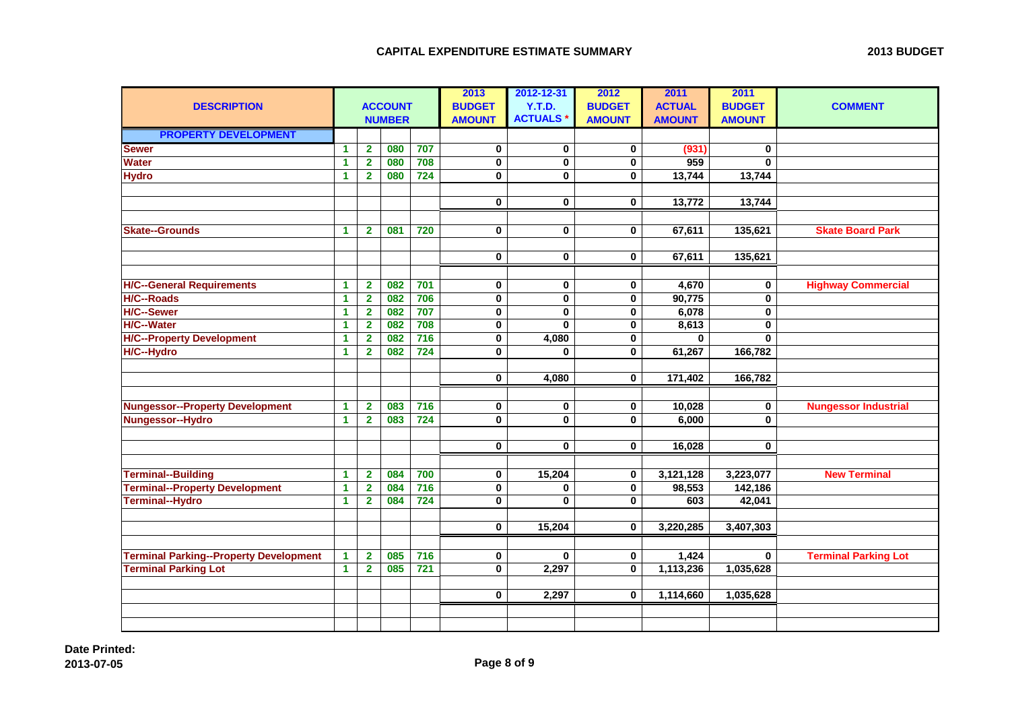| <b>ACCOUNT</b><br><b>BUDGET</b><br>Y.T.D.<br><b>BUDGET</b><br><b>ACTUAL</b><br><b>BUDGET</b><br><b>DESCRIPTION</b><br><b>COMMENT</b><br><b>ACTUALS*</b><br><b>AMOUNT</b><br><b>NUMBER</b><br><b>AMOUNT</b><br><b>AMOUNT</b><br><b>AMOUNT</b><br><b>PROPERTY DEVELOPMENT</b><br><b>Sewer</b><br>080<br>$\overline{\mathbf{2}}$<br>707<br>$\pmb{0}$<br>$\bf{0}$<br>$\mathbf 0$<br>(931)<br>$\blacktriangleleft$<br>$\bf{0}$<br>Water<br>$\overline{2}$<br>080<br>708<br>0<br>$\mathbf 0$<br>$\mathbf 0$<br>959<br>$\mathbf{0}$<br>1<br><b>Hydro</b><br>080<br>724<br>13,744<br>13,744<br>$\blacktriangleleft$<br>$\mathbf{2}$<br>$\bf{0}$<br>$\bf{0}$<br>$\mathbf 0$<br>13,744<br>$\bf{0}$<br>$\bf{0}$<br>$\mathbf 0$<br>13,772<br>081<br>$\mathbf 0$<br>$\mathbf 0$<br>135,621<br><b>Skate Board Park</b><br><b>Skate--Grounds</b><br>$\blacktriangleleft$<br>720<br>$\mathbf{0}$<br>67,611<br>$\mathbf{2}$ |  |  | 2013 | 2012-12-31 | 2012 | 2011 | 2011 |  |
|------------------------------------------------------------------------------------------------------------------------------------------------------------------------------------------------------------------------------------------------------------------------------------------------------------------------------------------------------------------------------------------------------------------------------------------------------------------------------------------------------------------------------------------------------------------------------------------------------------------------------------------------------------------------------------------------------------------------------------------------------------------------------------------------------------------------------------------------------------------------------------------------------------|--|--|------|------------|------|------|------|--|
|                                                                                                                                                                                                                                                                                                                                                                                                                                                                                                                                                                                                                                                                                                                                                                                                                                                                                                            |  |  |      |            |      |      |      |  |
|                                                                                                                                                                                                                                                                                                                                                                                                                                                                                                                                                                                                                                                                                                                                                                                                                                                                                                            |  |  |      |            |      |      |      |  |
|                                                                                                                                                                                                                                                                                                                                                                                                                                                                                                                                                                                                                                                                                                                                                                                                                                                                                                            |  |  |      |            |      |      |      |  |
|                                                                                                                                                                                                                                                                                                                                                                                                                                                                                                                                                                                                                                                                                                                                                                                                                                                                                                            |  |  |      |            |      |      |      |  |
|                                                                                                                                                                                                                                                                                                                                                                                                                                                                                                                                                                                                                                                                                                                                                                                                                                                                                                            |  |  |      |            |      |      |      |  |
|                                                                                                                                                                                                                                                                                                                                                                                                                                                                                                                                                                                                                                                                                                                                                                                                                                                                                                            |  |  |      |            |      |      |      |  |
|                                                                                                                                                                                                                                                                                                                                                                                                                                                                                                                                                                                                                                                                                                                                                                                                                                                                                                            |  |  |      |            |      |      |      |  |
|                                                                                                                                                                                                                                                                                                                                                                                                                                                                                                                                                                                                                                                                                                                                                                                                                                                                                                            |  |  |      |            |      |      |      |  |
|                                                                                                                                                                                                                                                                                                                                                                                                                                                                                                                                                                                                                                                                                                                                                                                                                                                                                                            |  |  |      |            |      |      |      |  |
|                                                                                                                                                                                                                                                                                                                                                                                                                                                                                                                                                                                                                                                                                                                                                                                                                                                                                                            |  |  |      |            |      |      |      |  |
|                                                                                                                                                                                                                                                                                                                                                                                                                                                                                                                                                                                                                                                                                                                                                                                                                                                                                                            |  |  |      |            |      |      |      |  |
| $\mathbf 0$<br>$\mathbf 0$<br>$\mathbf 0$<br>67,611<br>135,621                                                                                                                                                                                                                                                                                                                                                                                                                                                                                                                                                                                                                                                                                                                                                                                                                                             |  |  |      |            |      |      |      |  |
|                                                                                                                                                                                                                                                                                                                                                                                                                                                                                                                                                                                                                                                                                                                                                                                                                                                                                                            |  |  |      |            |      |      |      |  |
| <b>H/C--General Requirements</b><br>082<br>701<br>4,670<br><b>Highway Commercial</b><br>$\blacktriangleleft$<br>$\mathbf{2}$<br>0<br>0<br>0<br>0                                                                                                                                                                                                                                                                                                                                                                                                                                                                                                                                                                                                                                                                                                                                                           |  |  |      |            |      |      |      |  |
| $\overline{2}$<br>706<br>$\pmb{0}$<br>$\mathbf 0$<br>$\pmb{0}$<br>0<br><b>H/C--Roads</b><br>$\mathbf{1}$<br>082<br>90,775                                                                                                                                                                                                                                                                                                                                                                                                                                                                                                                                                                                                                                                                                                                                                                                  |  |  |      |            |      |      |      |  |
| <b>H/C--Sewer</b><br>707<br>6,078<br>$\overline{\mathbf{2}}$<br>082<br>$\pmb{0}$<br>$\pmb{0}$<br>0<br>0<br>1                                                                                                                                                                                                                                                                                                                                                                                                                                                                                                                                                                                                                                                                                                                                                                                               |  |  |      |            |      |      |      |  |
| <b>H/C--Water</b><br>708<br>8,613<br>082<br>$\pmb{0}$<br>$\mathbf{0}$<br>$\mathbf 0$<br>$\bf{0}$<br>1<br>$\mathbf{2}$                                                                                                                                                                                                                                                                                                                                                                                                                                                                                                                                                                                                                                                                                                                                                                                      |  |  |      |            |      |      |      |  |
| <b>H/C--Property Development</b><br>082<br>$\overline{716}$<br>$\overline{\mathbf{1}}$<br>$\overline{2}$<br>$\pmb{0}$<br>4,080<br>$\mathbf 0$<br>$\mathbf{0}$<br>$\mathbf{0}$                                                                                                                                                                                                                                                                                                                                                                                                                                                                                                                                                                                                                                                                                                                              |  |  |      |            |      |      |      |  |
| H/C--Hydro<br>082<br>724<br>166,782<br>$\blacktriangleleft$<br>$\bf{0}$<br>$\mathbf 0$<br>61,267<br>$\mathbf{2}$<br>$\bf{0}$                                                                                                                                                                                                                                                                                                                                                                                                                                                                                                                                                                                                                                                                                                                                                                               |  |  |      |            |      |      |      |  |
|                                                                                                                                                                                                                                                                                                                                                                                                                                                                                                                                                                                                                                                                                                                                                                                                                                                                                                            |  |  |      |            |      |      |      |  |
| $\mathbf 0$<br>4,080<br>$\mathbf 0$<br>171,402<br>166,782                                                                                                                                                                                                                                                                                                                                                                                                                                                                                                                                                                                                                                                                                                                                                                                                                                                  |  |  |      |            |      |      |      |  |
|                                                                                                                                                                                                                                                                                                                                                                                                                                                                                                                                                                                                                                                                                                                                                                                                                                                                                                            |  |  |      |            |      |      |      |  |
| <b>Nungessor--Property Development</b><br>716<br><b>Nungessor Industrial</b><br>083<br>0<br>10,028<br>$\mathbf{1}$<br>$\mathbf{2}$<br>$\mathbf 0$<br>0<br>0                                                                                                                                                                                                                                                                                                                                                                                                                                                                                                                                                                                                                                                                                                                                                |  |  |      |            |      |      |      |  |
| Nungessor--Hydro<br>$\overline{2}$<br>083<br>724<br>$\mathbf 0$<br>$\mathbf 0$<br>$\mathbf 0$<br>6,000<br>$\mathbf{0}$<br>$\blacktriangleleft$                                                                                                                                                                                                                                                                                                                                                                                                                                                                                                                                                                                                                                                                                                                                                             |  |  |      |            |      |      |      |  |
|                                                                                                                                                                                                                                                                                                                                                                                                                                                                                                                                                                                                                                                                                                                                                                                                                                                                                                            |  |  |      |            |      |      |      |  |
| $\bf{0}$<br>0<br>0<br>16,028<br>0                                                                                                                                                                                                                                                                                                                                                                                                                                                                                                                                                                                                                                                                                                                                                                                                                                                                          |  |  |      |            |      |      |      |  |
|                                                                                                                                                                                                                                                                                                                                                                                                                                                                                                                                                                                                                                                                                                                                                                                                                                                                                                            |  |  |      |            |      |      |      |  |
| <b>Terminal--Building</b><br>700<br>$\overline{2}$<br>084<br>$\pmb{0}$<br>15,204<br>$\mathbf 0$<br>3,121,128<br>3,223,077<br><b>New Terminal</b><br>$\mathbf 1$                                                                                                                                                                                                                                                                                                                                                                                                                                                                                                                                                                                                                                                                                                                                            |  |  |      |            |      |      |      |  |
| $\frac{1}{716}$<br><b>Terminal--Property Development</b><br>$\overline{2}$<br>084<br>$\mathbf 0$<br>$\mathbf 0$<br>98,553<br>142,186<br>$\blacktriangleleft$<br>$\bf{0}$                                                                                                                                                                                                                                                                                                                                                                                                                                                                                                                                                                                                                                                                                                                                   |  |  |      |            |      |      |      |  |
| <b>Terminal--Hydro</b><br>$724$<br>084<br>0<br>$\bf{0}$<br>$\mathbf 0$<br>42,041<br>$\blacktriangleleft$<br>$\mathbf{2}$<br>603                                                                                                                                                                                                                                                                                                                                                                                                                                                                                                                                                                                                                                                                                                                                                                            |  |  |      |            |      |      |      |  |
|                                                                                                                                                                                                                                                                                                                                                                                                                                                                                                                                                                                                                                                                                                                                                                                                                                                                                                            |  |  |      |            |      |      |      |  |
| $\mathbf 0$<br>15,204<br>3,407,303<br>$\mathbf{0}$<br>3,220,285                                                                                                                                                                                                                                                                                                                                                                                                                                                                                                                                                                                                                                                                                                                                                                                                                                            |  |  |      |            |      |      |      |  |
|                                                                                                                                                                                                                                                                                                                                                                                                                                                                                                                                                                                                                                                                                                                                                                                                                                                                                                            |  |  |      |            |      |      |      |  |
| <b>Terminal Parking--Property Development</b><br>085<br>716<br><b>Terminal Parking Lot</b><br>$\mathbf{2}$<br>$\mathbf 0$<br>$\mathbf 0$<br>1,424<br>$\blacktriangleleft$<br>$\bf{0}$<br>0                                                                                                                                                                                                                                                                                                                                                                                                                                                                                                                                                                                                                                                                                                                 |  |  |      |            |      |      |      |  |
| 085<br>$\overline{721}$<br>$\overline{\mathbf{0}}$<br>$\overline{\mathbf{0}}$<br><b>Terminal Parking Lot</b><br>$\blacktriangleleft$<br>$\overline{2}$<br>2,297<br>1,113,236<br>1,035,628                                                                                                                                                                                                                                                                                                                                                                                                                                                                                                                                                                                                                                                                                                                  |  |  |      |            |      |      |      |  |
|                                                                                                                                                                                                                                                                                                                                                                                                                                                                                                                                                                                                                                                                                                                                                                                                                                                                                                            |  |  |      |            |      |      |      |  |
| $\mathbf 0$<br>2,297<br>$\mathbf 0$<br>1,114,660<br>1,035,628                                                                                                                                                                                                                                                                                                                                                                                                                                                                                                                                                                                                                                                                                                                                                                                                                                              |  |  |      |            |      |      |      |  |
|                                                                                                                                                                                                                                                                                                                                                                                                                                                                                                                                                                                                                                                                                                                                                                                                                                                                                                            |  |  |      |            |      |      |      |  |
|                                                                                                                                                                                                                                                                                                                                                                                                                                                                                                                                                                                                                                                                                                                                                                                                                                                                                                            |  |  |      |            |      |      |      |  |